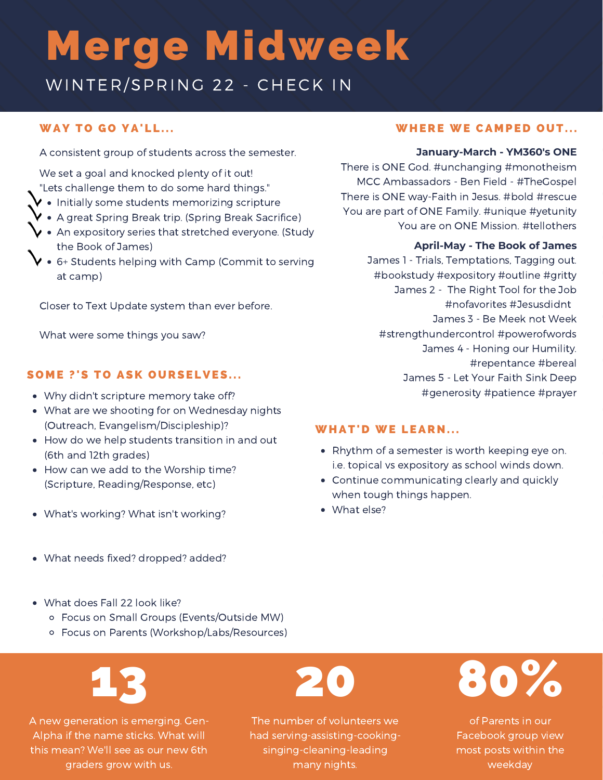## Merge Midweek

WINTER/SPRING 22 - CHECK IN

#### WAY TO GO YA'LL...

A consistent group of students across the semester.

We set a goal and knocked plenty of it out! "Lets challenge them to do some hard things."

- $\blacktriangledown\bullet\,$  Initially some students memorizing scripture
- $\vee$  A great Spring Break trip. (Spring Break Sacrifice)
- $\vee$  An expository series that stretched everyone. (Study the Book of James)
- 6+ Students helping with Camp (Commit to serving at camp)

Closer to Text Update system than ever before.

What were some things you saw?

#### SOME ?'S TO ASK OURSELVES...

- Why didn't scripture memory take off?
- What are we shooting for on Wednesday nights (Outreach, Evangelism/Discipleship)?
- How do we help students transition in and out (6th and 12th grades)
- How can we add to the Worship time? (Scripture, Reading/Response, etc)
- What's working? What isn't working?

#### There is ONE God. #unchanging #monotheism MCC Ambassadors - Ben Field - #TheGospel

There is ONE way-Faith in Jesus. #bold #rescue You are part of ONE Family. #unique #yetunity You are on ONE Mission. #tellothers

#### **April-May - The Book of James**

**January-March - YM360's ONE**

James 1 - Trials, Temptations, Tagging out. #bookstudy #expository #outline #gritty James 2 - The Right Tool for the Job #nofavorites #Jesusdidnt James 3 - Be Meek not Week #strengthundercontrol #powerofwords James 4 - Honing our Humility. #repentance #bereal James 5 - Let Your Faith Sink Deep #generosity #patience #prayer

#### **WHAT'D WE LEARN...**

- Rhythm of a semester is worth keeping eye on. i.e. topical vs expository as school winds down.
- Continue communicating clearly and quickly when tough things happen.
- What else?

- What needs fixed? dropped? added?
- What does Fall 22 look like?
	- Focus on Small Groups (Events/Outside MW)
	- Focus on Parents (Workshop/Labs/Resources)

# 13

A new generation is emerging. Gen-Alpha if the name sticks. What will this mean? We'll see as our new 6th graders grow with us.

The number of volunteers we had serving-assisting-cookingsinging-cleaning-leading many nights.

20



of Parents in our Facebook group view most posts within the weekday

#### WHERE WE CAMPED OUT...